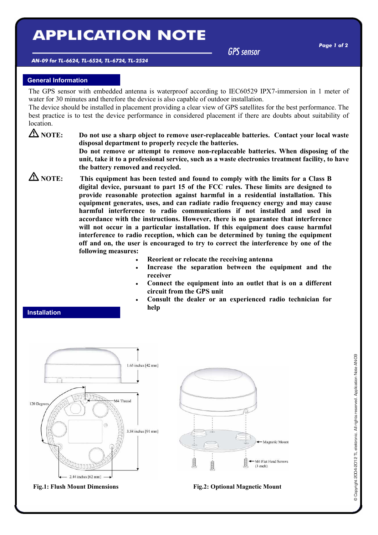# **APPLICATION NOTE**

GPS sensor

#### AN-09 for TL-6624, TL-6524, TL-6724, TL-2524

# General Information

The GPS sensor with embedded antenna is waterproof according to IEC60529 IPX7-immersion in 1 meter of water for 30 minutes and therefore the device is also capable of outdoor installation.

The device should be installed in placement providing a clear view of GPS satellites for the best performance. The best practice is to test the device performance in considered placement if there are doubts about suitability of location.

 $\triangle$  NOTE: Do not use a sharp object to remove user-replaceable batteries. Contact your local waste disposal department to properly recycle the batteries.

> Do not remove or attempt to remove non-replaceable batteries. When disposing of the unit, take it to a professional service, such as a waste electronics treatment facility, to have the battery removed and recycled.

 $\Delta$  NOTE: This equipment has been tested and found to comply with the limits for a Class B digital device, pursuant to part 15 of the FCC rules. These limits are designed to provide reasonable protection against harmful in a residential installation. This equipment generates, uses, and can radiate radio frequency energy and may cause harmful interference to radio communications if not installed and used in accordance with the instructions. However, there is no guarantee that interference will not occur in a particular installation. If this equipment does cause harmful interference to radio reception, which can be determined by tuning the equipment off and on, the user is encouraged to try to correct the interference by one of the following measures:

- Reorient or relocate the receiving antenna
- Increase the separation between the equipment and the receiver
- Connect the equipment into an outlet that is on a different circuit from the GPS unit
- Consult the dealer or an experienced radio technician for help

## Installation



Fig.1: Flush Mount Dimensions Fig.2: Optional Magnetic Mount